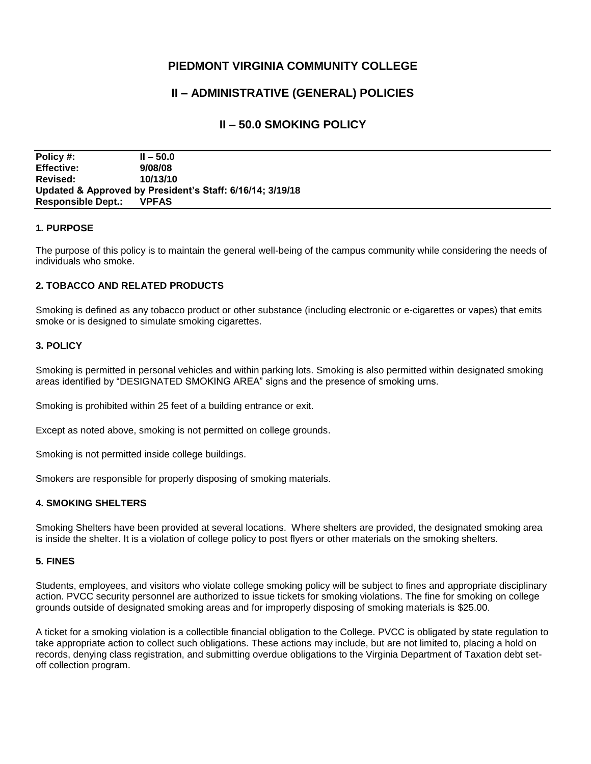# **PIEDMONT VIRGINIA COMMUNITY COLLEGE**

# **II – ADMINISTRATIVE (GENERAL) POLICIES**

## **II – 50.0 SMOKING POLICY**

**Policy #: II – 50.0 Effective: 9/08/08 Revised: 10/13/10 Updated & Approved by President's Staff: 6/16/14; 3/19/18 Responsible Dept.: VPFAS**

## **1. PURPOSE**

The purpose of this policy is to maintain the general well-being of the campus community while considering the needs of individuals who smoke.

## **2. TOBACCO AND RELATED PRODUCTS**

Smoking is defined as any tobacco product or other substance (including electronic or e-cigarettes or vapes) that emits smoke or is designed to simulate smoking cigarettes.

#### **3. POLICY**

Smoking is permitted in personal vehicles and within parking lots. Smoking is also permitted within designated smoking areas identified by "DESIGNATED SMOKING AREA" signs and the presence of smoking urns.

Smoking is prohibited within 25 feet of a building entrance or exit.

Except as noted above, smoking is not permitted on college grounds.

Smoking is not permitted inside college buildings.

Smokers are responsible for properly disposing of smoking materials.

#### **4. SMOKING SHELTERS**

Smoking Shelters have been provided at several locations. Where shelters are provided, the designated smoking area is inside the shelter. It is a violation of college policy to post flyers or other materials on the smoking shelters.

#### **5. FINES**

Students, employees, and visitors who violate college smoking policy will be subject to fines and appropriate disciplinary action. PVCC security personnel are authorized to issue tickets for smoking violations. The fine for smoking on college grounds outside of designated smoking areas and for improperly disposing of smoking materials is \$25.00.

A ticket for a smoking violation is a collectible financial obligation to the College. PVCC is obligated by state regulation to take appropriate action to collect such obligations. These actions may include, but are not limited to, placing a hold on records, denying class registration, and submitting overdue obligations to the Virginia Department of Taxation debt setoff collection program.